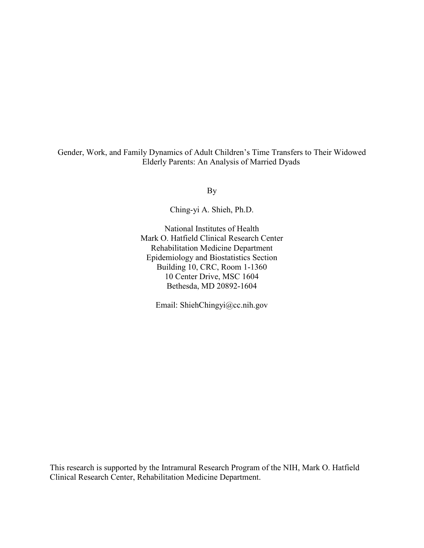Gender, Work, and Family Dynamics of Adult Children's Time Transfers to Their Widowed Elderly Parents: An Analysis of Married Dyads

By

Ching-yi A. Shieh, Ph.D.

National Institutes of Health Mark O. Hatfield Clinical Research Center Rehabilitation Medicine Department Epidemiology and Biostatistics Section Building 10, CRC, Room 1-1360 10 Center Drive, MSC 1604 Bethesda, MD 20892-1604

Email: ShiehChingyi@cc.nih.gov

This research is supported by the Intramural Research Program of the NIH, Mark O. Hatfield Clinical Research Center, Rehabilitation Medicine Department.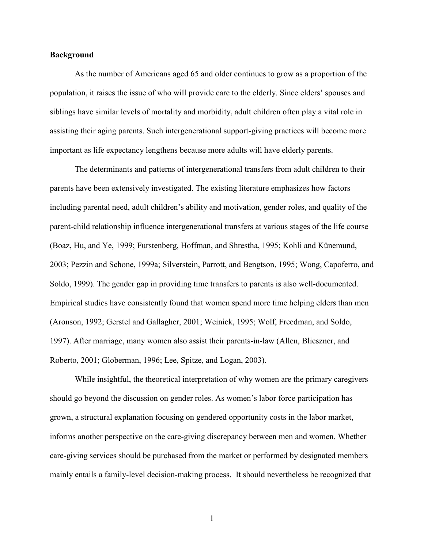#### Background

As the number of Americans aged 65 and older continues to grow as a proportion of the population, it raises the issue of who will provide care to the elderly. Since elders' spouses and siblings have similar levels of mortality and morbidity, adult children often play a vital role in assisting their aging parents. Such intergenerational support-giving practices will become more important as life expectancy lengthens because more adults will have elderly parents.

The determinants and patterns of intergenerational transfers from adult children to their parents have been extensively investigated. The existing literature emphasizes how factors including parental need, adult children's ability and motivation, gender roles, and quality of the parent-child relationship influence intergenerational transfers at various stages of the life course (Boaz, Hu, and Ye, 1999; Furstenberg, Hoffman, and Shrestha, 1995; Kohli and Künemund, 2003; Pezzin and Schone, 1999a; Silverstein, Parrott, and Bengtson, 1995; Wong, Capoferro, and Soldo, 1999). The gender gap in providing time transfers to parents is also well-documented. Empirical studies have consistently found that women spend more time helping elders than men (Aronson, 1992; Gerstel and Gallagher, 2001; Weinick, 1995; Wolf, Freedman, and Soldo, 1997). After marriage, many women also assist their parents-in-law (Allen, Blieszner, and Roberto, 2001; Globerman, 1996; Lee, Spitze, and Logan, 2003).

While insightful, the theoretical interpretation of why women are the primary caregivers should go beyond the discussion on gender roles. As women's labor force participation has grown, a structural explanation focusing on gendered opportunity costs in the labor market, informs another perspective on the care-giving discrepancy between men and women. Whether care-giving services should be purchased from the market or performed by designated members mainly entails a family-level decision-making process. It should nevertheless be recognized that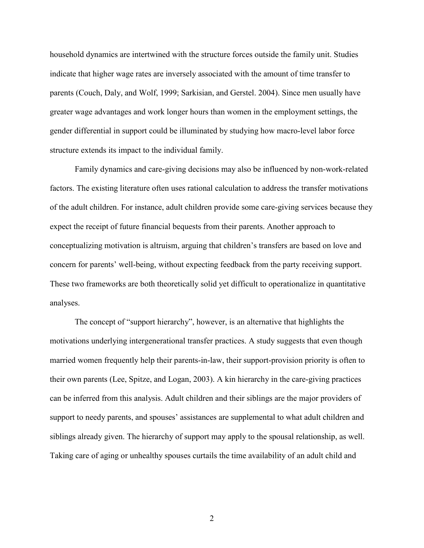household dynamics are intertwined with the structure forces outside the family unit. Studies indicate that higher wage rates are inversely associated with the amount of time transfer to parents (Couch, Daly, and Wolf, 1999; Sarkisian, and Gerstel. 2004). Since men usually have greater wage advantages and work longer hours than women in the employment settings, the gender differential in support could be illuminated by studying how macro-level labor force structure extends its impact to the individual family.

Family dynamics and care-giving decisions may also be influenced by non-work-related factors. The existing literature often uses rational calculation to address the transfer motivations of the adult children. For instance, adult children provide some care-giving services because they expect the receipt of future financial bequests from their parents. Another approach to conceptualizing motivation is altruism, arguing that children's transfers are based on love and concern for parents' well-being, without expecting feedback from the party receiving support. These two frameworks are both theoretically solid yet difficult to operationalize in quantitative analyses.

The concept of "support hierarchy", however, is an alternative that highlights the motivations underlying intergenerational transfer practices. A study suggests that even though married women frequently help their parents-in-law, their support-provision priority is often to their own parents (Lee, Spitze, and Logan, 2003). A kin hierarchy in the care-giving practices can be inferred from this analysis. Adult children and their siblings are the major providers of support to needy parents, and spouses' assistances are supplemental to what adult children and siblings already given. The hierarchy of support may apply to the spousal relationship, as well. Taking care of aging or unhealthy spouses curtails the time availability of an adult child and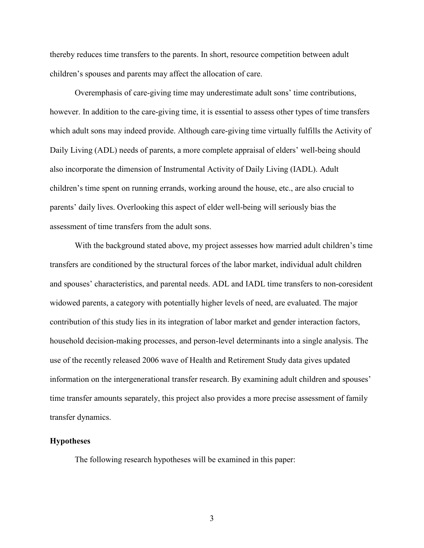thereby reduces time transfers to the parents. In short, resource competition between adult children's spouses and parents may affect the allocation of care.

Overemphasis of care-giving time may underestimate adult sons' time contributions, however. In addition to the care-giving time, it is essential to assess other types of time transfers which adult sons may indeed provide. Although care-giving time virtually fulfills the Activity of Daily Living (ADL) needs of parents, a more complete appraisal of elders' well-being should also incorporate the dimension of Instrumental Activity of Daily Living (IADL). Adult children's time spent on running errands, working around the house, etc., are also crucial to parents' daily lives. Overlooking this aspect of elder well-being will seriously bias the assessment of time transfers from the adult sons.

With the background stated above, my project assesses how married adult children's time transfers are conditioned by the structural forces of the labor market, individual adult children and spouses' characteristics, and parental needs. ADL and IADL time transfers to non-coresident widowed parents, a category with potentially higher levels of need, are evaluated. The major contribution of this study lies in its integration of labor market and gender interaction factors, household decision-making processes, and person-level determinants into a single analysis. The use of the recently released 2006 wave of Health and Retirement Study data gives updated information on the intergenerational transfer research. By examining adult children and spouses' time transfer amounts separately, this project also provides a more precise assessment of family transfer dynamics.

### Hypotheses

The following research hypotheses will be examined in this paper: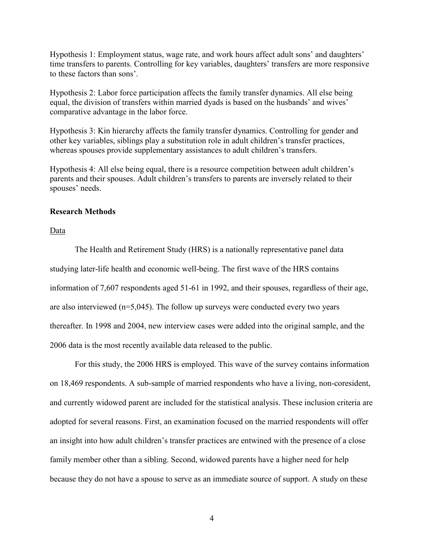Hypothesis 1: Employment status, wage rate, and work hours affect adult sons' and daughters' time transfers to parents. Controlling for key variables, daughters' transfers are more responsive to these factors than sons'.

Hypothesis 2: Labor force participation affects the family transfer dynamics. All else being equal, the division of transfers within married dyads is based on the husbands' and wives' comparative advantage in the labor force.

Hypothesis 3: Kin hierarchy affects the family transfer dynamics. Controlling for gender and other key variables, siblings play a substitution role in adult children's transfer practices, whereas spouses provide supplementary assistances to adult children's transfers.

Hypothesis 4: All else being equal, there is a resource competition between adult children's parents and their spouses. Adult children's transfers to parents are inversely related to their spouses' needs.

## Research Methods

Data

The Health and Retirement Study (HRS) is a nationally representative panel data studying later-life health and economic well-being. The first wave of the HRS contains information of 7,607 respondents aged 51-61 in 1992, and their spouses, regardless of their age, are also interviewed  $(n=5,045)$ . The follow up surveys were conducted every two years thereafter. In 1998 and 2004, new interview cases were added into the original sample, and the 2006 data is the most recently available data released to the public.

For this study, the 2006 HRS is employed. This wave of the survey contains information on 18,469 respondents. A sub-sample of married respondents who have a living, non-coresident, and currently widowed parent are included for the statistical analysis. These inclusion criteria are adopted for several reasons. First, an examination focused on the married respondents will offer an insight into how adult children's transfer practices are entwined with the presence of a close family member other than a sibling. Second, widowed parents have a higher need for help because they do not have a spouse to serve as an immediate source of support. A study on these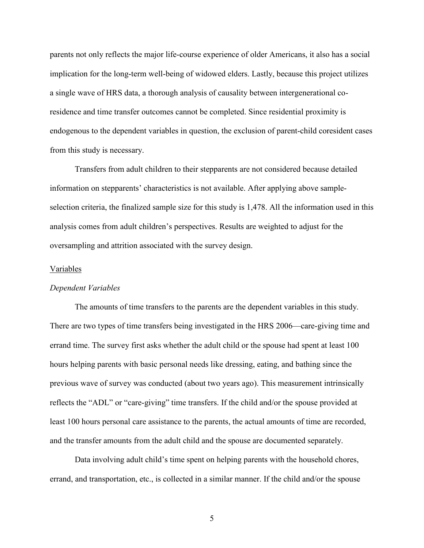parents not only reflects the major life-course experience of older Americans, it also has a social implication for the long-term well-being of widowed elders. Lastly, because this project utilizes a single wave of HRS data, a thorough analysis of causality between intergenerational coresidence and time transfer outcomes cannot be completed. Since residential proximity is endogenous to the dependent variables in question, the exclusion of parent-child coresident cases from this study is necessary.

Transfers from adult children to their stepparents are not considered because detailed information on stepparents' characteristics is not available. After applying above sampleselection criteria, the finalized sample size for this study is 1,478. All the information used in this analysis comes from adult children's perspectives. Results are weighted to adjust for the oversampling and attrition associated with the survey design.

#### Variables

#### Dependent Variables

 The amounts of time transfers to the parents are the dependent variables in this study. There are two types of time transfers being investigated in the HRS 2006—care-giving time and errand time. The survey first asks whether the adult child or the spouse had spent at least 100 hours helping parents with basic personal needs like dressing, eating, and bathing since the previous wave of survey was conducted (about two years ago). This measurement intrinsically reflects the "ADL" or "care-giving" time transfers. If the child and/or the spouse provided at least 100 hours personal care assistance to the parents, the actual amounts of time are recorded, and the transfer amounts from the adult child and the spouse are documented separately.

Data involving adult child's time spent on helping parents with the household chores, errand, and transportation, etc., is collected in a similar manner. If the child and/or the spouse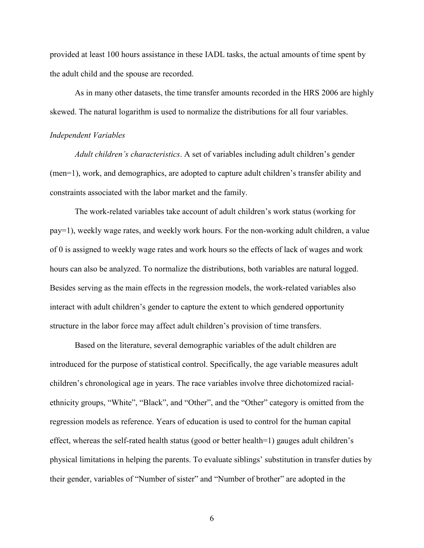provided at least 100 hours assistance in these IADL tasks, the actual amounts of time spent by the adult child and the spouse are recorded.

As in many other datasets, the time transfer amounts recorded in the HRS 2006 are highly skewed. The natural logarithm is used to normalize the distributions for all four variables.

### Independent Variables

Adult children's characteristics. A set of variables including adult children's gender (men=1), work, and demographics, are adopted to capture adult children's transfer ability and constraints associated with the labor market and the family.

The work-related variables take account of adult children's work status (working for pay=1), weekly wage rates, and weekly work hours. For the non-working adult children, a value of 0 is assigned to weekly wage rates and work hours so the effects of lack of wages and work hours can also be analyzed. To normalize the distributions, both variables are natural logged. Besides serving as the main effects in the regression models, the work-related variables also interact with adult children's gender to capture the extent to which gendered opportunity structure in the labor force may affect adult children's provision of time transfers.

Based on the literature, several demographic variables of the adult children are introduced for the purpose of statistical control. Specifically, the age variable measures adult children's chronological age in years. The race variables involve three dichotomized racialethnicity groups, "White", "Black", and "Other", and the "Other" category is omitted from the regression models as reference. Years of education is used to control for the human capital effect, whereas the self-rated health status (good or better health=1) gauges adult children's physical limitations in helping the parents. To evaluate siblings' substitution in transfer duties by their gender, variables of "Number of sister" and "Number of brother" are adopted in the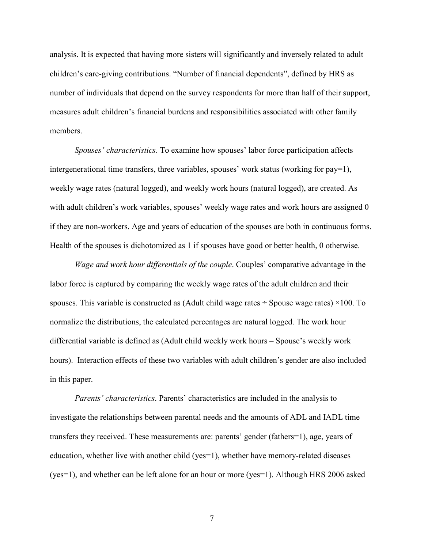analysis. It is expected that having more sisters will significantly and inversely related to adult children's care-giving contributions. "Number of financial dependents", defined by HRS as number of individuals that depend on the survey respondents for more than half of their support, measures adult children's financial burdens and responsibilities associated with other family members.

Spouses' characteristics. To examine how spouses' labor force participation affects intergenerational time transfers, three variables, spouses' work status (working for pay=1), weekly wage rates (natural logged), and weekly work hours (natural logged), are created. As with adult children's work variables, spouses' weekly wage rates and work hours are assigned 0 if they are non-workers. Age and years of education of the spouses are both in continuous forms. Health of the spouses is dichotomized as 1 if spouses have good or better health, 0 otherwise.

Wage and work hour differentials of the couple. Couples' comparative advantage in the labor force is captured by comparing the weekly wage rates of the adult children and their spouses. This variable is constructed as (Adult child wage rates  $\div$  Spouse wage rates)  $\times$ 100. To normalize the distributions, the calculated percentages are natural logged. The work hour differential variable is defined as (Adult child weekly work hours – Spouse's weekly work hours). Interaction effects of these two variables with adult children's gender are also included in this paper.

Parents' characteristics. Parents' characteristics are included in the analysis to investigate the relationships between parental needs and the amounts of ADL and IADL time transfers they received. These measurements are: parents' gender (fathers=1), age, years of education, whether live with another child ( $yes=1$ ), whether have memory-related diseases (yes=1), and whether can be left alone for an hour or more (yes=1). Although HRS 2006 asked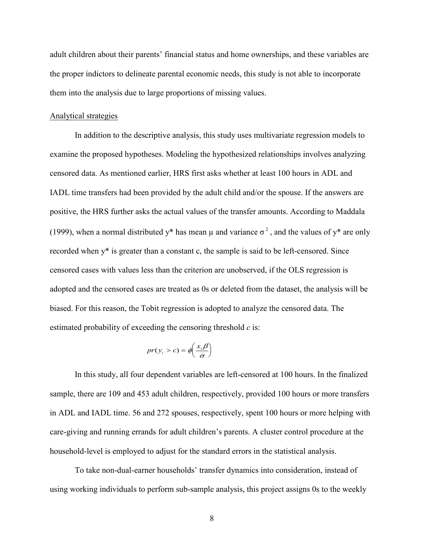adult children about their parents' financial status and home ownerships, and these variables are the proper indictors to delineate parental economic needs, this study is not able to incorporate them into the analysis due to large proportions of missing values.

#### Analytical strategies

In addition to the descriptive analysis, this study uses multivariate regression models to examine the proposed hypotheses. Modeling the hypothesized relationships involves analyzing censored data. As mentioned earlier, HRS first asks whether at least 100 hours in ADL and IADL time transfers had been provided by the adult child and/or the spouse. If the answers are positive, the HRS further asks the actual values of the transfer amounts. According to Maddala (1999), when a normal distributed y<sup>\*</sup> has mean  $\mu$  and variance  $\sigma^2$ , and the values of y<sup>\*</sup> are only recorded when y\* is greater than a constant c, the sample is said to be left-censored. Since censored cases with values less than the criterion are unobserved, if the OLS regression is adopted and the censored cases are treated as 0s or deleted from the dataset, the analysis will be biased. For this reason, the Tobit regression is adopted to analyze the censored data. The estimated probability of exceeding the censoring threshold  $c$  is:

$$
pr(y_i > c) = \phi\left(\frac{x_i \beta}{\sigma}\right)
$$

In this study, all four dependent variables are left-censored at 100 hours. In the finalized sample, there are 109 and 453 adult children, respectively, provided 100 hours or more transfers in ADL and IADL time. 56 and 272 spouses, respectively, spent 100 hours or more helping with care-giving and running errands for adult children's parents. A cluster control procedure at the household-level is employed to adjust for the standard errors in the statistical analysis.

 To take non-dual-earner households' transfer dynamics into consideration, instead of using working individuals to perform sub-sample analysis, this project assigns 0s to the weekly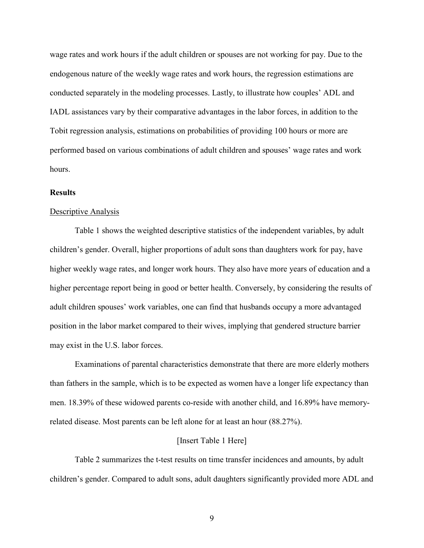wage rates and work hours if the adult children or spouses are not working for pay. Due to the endogenous nature of the weekly wage rates and work hours, the regression estimations are conducted separately in the modeling processes. Lastly, to illustrate how couples' ADL and IADL assistances vary by their comparative advantages in the labor forces, in addition to the Tobit regression analysis, estimations on probabilities of providing 100 hours or more are performed based on various combinations of adult children and spouses' wage rates and work hours.

#### **Results**

#### Descriptive Analysis

 Table 1 shows the weighted descriptive statistics of the independent variables, by adult children's gender. Overall, higher proportions of adult sons than daughters work for pay, have higher weekly wage rates, and longer work hours. They also have more years of education and a higher percentage report being in good or better health. Conversely, by considering the results of adult children spouses' work variables, one can find that husbands occupy a more advantaged position in the labor market compared to their wives, implying that gendered structure barrier may exist in the U.S. labor forces.

 Examinations of parental characteristics demonstrate that there are more elderly mothers than fathers in the sample, which is to be expected as women have a longer life expectancy than men. 18.39% of these widowed parents co-reside with another child, and 16.89% have memoryrelated disease. Most parents can be left alone for at least an hour (88.27%).

#### [Insert Table 1 Here]

 Table 2 summarizes the t-test results on time transfer incidences and amounts, by adult children's gender. Compared to adult sons, adult daughters significantly provided more ADL and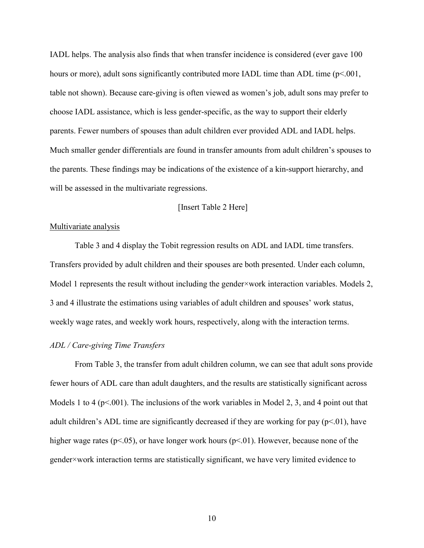IADL helps. The analysis also finds that when transfer incidence is considered (ever gave 100 hours or more), adult sons significantly contributed more IADL time than ADL time (p<.001, table not shown). Because care-giving is often viewed as women's job, adult sons may prefer to choose IADL assistance, which is less gender-specific, as the way to support their elderly parents. Fewer numbers of spouses than adult children ever provided ADL and IADL helps. Much smaller gender differentials are found in transfer amounts from adult children's spouses to the parents. These findings may be indications of the existence of a kin-support hierarchy, and will be assessed in the multivariate regressions.

### [Insert Table 2 Here]

#### Multivariate analysis

 Table 3 and 4 display the Tobit regression results on ADL and IADL time transfers. Transfers provided by adult children and their spouses are both presented. Under each column, Model 1 represents the result without including the gender×work interaction variables. Models 2, 3 and 4 illustrate the estimations using variables of adult children and spouses' work status, weekly wage rates, and weekly work hours, respectively, along with the interaction terms.

## ADL / Care-giving Time Transfers

 From Table 3, the transfer from adult children column, we can see that adult sons provide fewer hours of ADL care than adult daughters, and the results are statistically significant across Models 1 to 4 ( $p<001$ ). The inclusions of the work variables in Model 2, 3, and 4 point out that adult children's ADL time are significantly decreased if they are working for pay  $(p<01)$ , have higher wage rates ( $p<0.05$ ), or have longer work hours ( $p<0.01$ ). However, because none of the gender×work interaction terms are statistically significant, we have very limited evidence to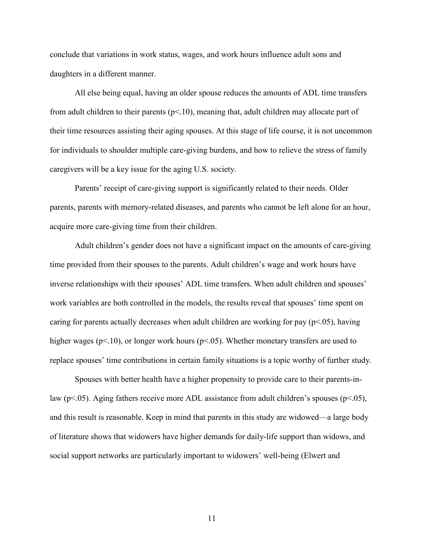conclude that variations in work status, wages, and work hours influence adult sons and daughters in a different manner.

 All else being equal, having an older spouse reduces the amounts of ADL time transfers from adult children to their parents  $(p<10)$ , meaning that, adult children may allocate part of their time resources assisting their aging spouses. At this stage of life course, it is not uncommon for individuals to shoulder multiple care-giving burdens, and how to relieve the stress of family caregivers will be a key issue for the aging U.S. society.

 Parents' receipt of care-giving support is significantly related to their needs. Older parents, parents with memory-related diseases, and parents who cannot be left alone for an hour, acquire more care-giving time from their children.

 Adult children's gender does not have a significant impact on the amounts of care-giving time provided from their spouses to the parents. Adult children's wage and work hours have inverse relationships with their spouses' ADL time transfers. When adult children and spouses' work variables are both controlled in the models, the results reveal that spouses' time spent on caring for parents actually decreases when adult children are working for pay  $(p<.05)$ , having higher wages ( $p<10$ ), or longer work hours ( $p<05$ ). Whether monetary transfers are used to replace spouses' time contributions in certain family situations is a topic worthy of further study.

 Spouses with better health have a higher propensity to provide care to their parents-inlaw (p<.05). Aging fathers receive more ADL assistance from adult children's spouses (p<.05), and this result is reasonable. Keep in mind that parents in this study are widowed—a large body of literature shows that widowers have higher demands for daily-life support than widows, and social support networks are particularly important to widowers' well-being (Elwert and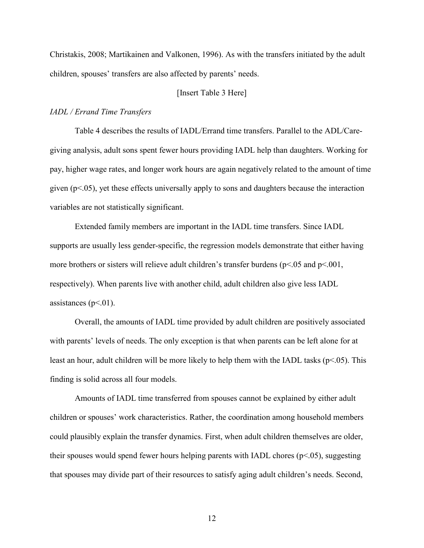Christakis, 2008; Martikainen and Valkonen, 1996). As with the transfers initiated by the adult children, spouses' transfers are also affected by parents' needs.

## [Insert Table 3 Here]

### IADL / Errand Time Transfers

 Table 4 describes the results of IADL/Errand time transfers. Parallel to the ADL/Caregiving analysis, adult sons spent fewer hours providing IADL help than daughters. Working for pay, higher wage rates, and longer work hours are again negatively related to the amount of time given  $(p<0.05)$ , yet these effects universally apply to sons and daughters because the interaction variables are not statistically significant.

 Extended family members are important in the IADL time transfers. Since IADL supports are usually less gender-specific, the regression models demonstrate that either having more brothers or sisters will relieve adult children's transfer burdens ( $p<05$  and  $p<001$ , respectively). When parents live with another child, adult children also give less IADL assistances ( $p<01$ ).

 Overall, the amounts of IADL time provided by adult children are positively associated with parents' levels of needs. The only exception is that when parents can be left alone for at least an hour, adult children will be more likely to help them with the IADL tasks ( $p<.05$ ). This finding is solid across all four models.

 Amounts of IADL time transferred from spouses cannot be explained by either adult children or spouses' work characteristics. Rather, the coordination among household members could plausibly explain the transfer dynamics. First, when adult children themselves are older, their spouses would spend fewer hours helping parents with IADL chores  $(p<0.05)$ , suggesting that spouses may divide part of their resources to satisfy aging adult children's needs. Second,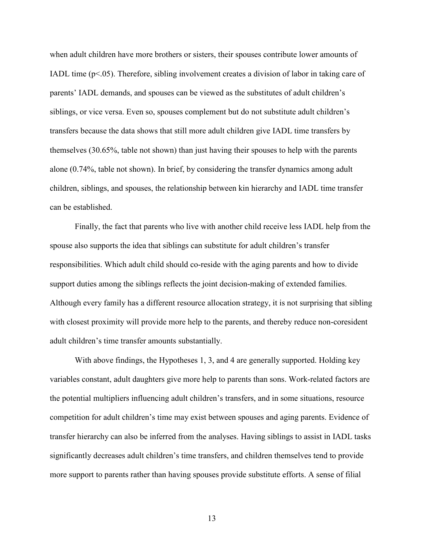when adult children have more brothers or sisters, their spouses contribute lower amounts of IADL time  $(p<.05)$ . Therefore, sibling involvement creates a division of labor in taking care of parents' IADL demands, and spouses can be viewed as the substitutes of adult children's siblings, or vice versa. Even so, spouses complement but do not substitute adult children's transfers because the data shows that still more adult children give IADL time transfers by themselves (30.65%, table not shown) than just having their spouses to help with the parents alone (0.74%, table not shown). In brief, by considering the transfer dynamics among adult children, siblings, and spouses, the relationship between kin hierarchy and IADL time transfer can be established.

 Finally, the fact that parents who live with another child receive less IADL help from the spouse also supports the idea that siblings can substitute for adult children's transfer responsibilities. Which adult child should co-reside with the aging parents and how to divide support duties among the siblings reflects the joint decision-making of extended families. Although every family has a different resource allocation strategy, it is not surprising that sibling with closest proximity will provide more help to the parents, and thereby reduce non-coresident adult children's time transfer amounts substantially.

 With above findings, the Hypotheses 1, 3, and 4 are generally supported. Holding key variables constant, adult daughters give more help to parents than sons. Work-related factors are the potential multipliers influencing adult children's transfers, and in some situations, resource competition for adult children's time may exist between spouses and aging parents. Evidence of transfer hierarchy can also be inferred from the analyses. Having siblings to assist in IADL tasks significantly decreases adult children's time transfers, and children themselves tend to provide more support to parents rather than having spouses provide substitute efforts. A sense of filial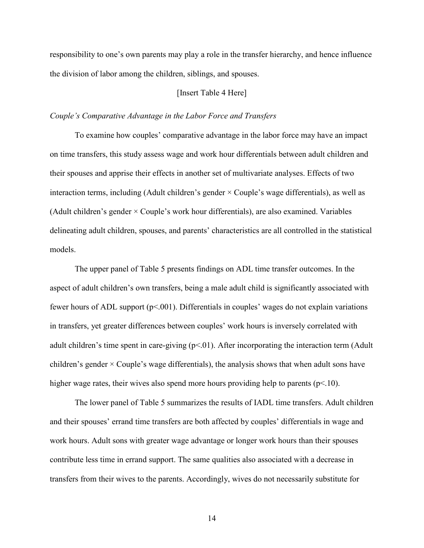responsibility to one's own parents may play a role in the transfer hierarchy, and hence influence the division of labor among the children, siblings, and spouses.

## [Insert Table 4 Here]

#### Couple's Comparative Advantage in the Labor Force and Transfers

 To examine how couples' comparative advantage in the labor force may have an impact on time transfers, this study assess wage and work hour differentials between adult children and their spouses and apprise their effects in another set of multivariate analyses. Effects of two interaction terms, including (Adult children's gender  $\times$  Couple's wage differentials), as well as (Adult children's gender × Couple's work hour differentials), are also examined. Variables delineating adult children, spouses, and parents' characteristics are all controlled in the statistical models.

 The upper panel of Table 5 presents findings on ADL time transfer outcomes. In the aspect of adult children's own transfers, being a male adult child is significantly associated with fewer hours of ADL support (p<.001). Differentials in couples' wages do not explain variations in transfers, yet greater differences between couples' work hours is inversely correlated with adult children's time spent in care-giving  $(p<01)$ . After incorporating the interaction term (Adult children's gender  $\times$  Couple's wage differentials), the analysis shows that when adult sons have higher wage rates, their wives also spend more hours providing help to parents ( $p<10$ ).

The lower panel of Table 5 summarizes the results of IADL time transfers. Adult children and their spouses' errand time transfers are both affected by couples' differentials in wage and work hours. Adult sons with greater wage advantage or longer work hours than their spouses contribute less time in errand support. The same qualities also associated with a decrease in transfers from their wives to the parents. Accordingly, wives do not necessarily substitute for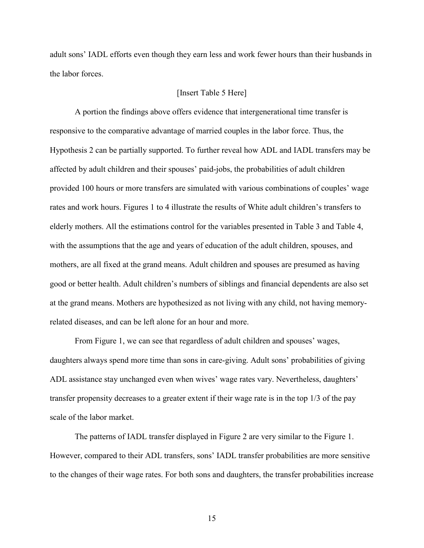adult sons' IADL efforts even though they earn less and work fewer hours than their husbands in the labor forces.

## [Insert Table 5 Here]

 A portion the findings above offers evidence that intergenerational time transfer is responsive to the comparative advantage of married couples in the labor force. Thus, the Hypothesis 2 can be partially supported. To further reveal how ADL and IADL transfers may be affected by adult children and their spouses' paid-jobs, the probabilities of adult children provided 100 hours or more transfers are simulated with various combinations of couples' wage rates and work hours. Figures 1 to 4 illustrate the results of White adult children's transfers to elderly mothers. All the estimations control for the variables presented in Table 3 and Table 4, with the assumptions that the age and years of education of the adult children, spouses, and mothers, are all fixed at the grand means. Adult children and spouses are presumed as having good or better health. Adult children's numbers of siblings and financial dependents are also set at the grand means. Mothers are hypothesized as not living with any child, not having memoryrelated diseases, and can be left alone for an hour and more.

 From Figure 1, we can see that regardless of adult children and spouses' wages, daughters always spend more time than sons in care-giving. Adult sons' probabilities of giving ADL assistance stay unchanged even when wives' wage rates vary. Nevertheless, daughters' transfer propensity decreases to a greater extent if their wage rate is in the top 1/3 of the pay scale of the labor market.

 The patterns of IADL transfer displayed in Figure 2 are very similar to the Figure 1. However, compared to their ADL transfers, sons' IADL transfer probabilities are more sensitive to the changes of their wage rates. For both sons and daughters, the transfer probabilities increase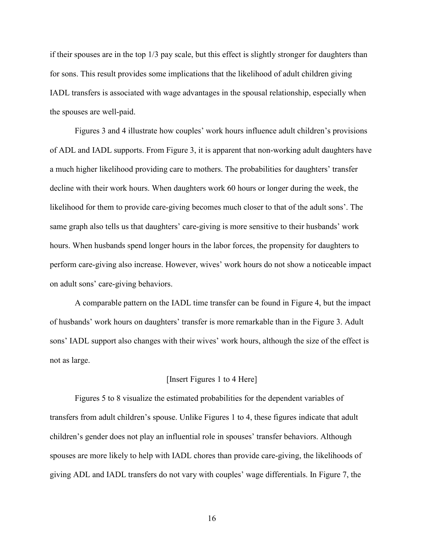if their spouses are in the top 1/3 pay scale, but this effect is slightly stronger for daughters than for sons. This result provides some implications that the likelihood of adult children giving IADL transfers is associated with wage advantages in the spousal relationship, especially when the spouses are well-paid.

 Figures 3 and 4 illustrate how couples' work hours influence adult children's provisions of ADL and IADL supports. From Figure 3, it is apparent that non-working adult daughters have a much higher likelihood providing care to mothers. The probabilities for daughters' transfer decline with their work hours. When daughters work 60 hours or longer during the week, the likelihood for them to provide care-giving becomes much closer to that of the adult sons'. The same graph also tells us that daughters' care-giving is more sensitive to their husbands' work hours. When husbands spend longer hours in the labor forces, the propensity for daughters to perform care-giving also increase. However, wives' work hours do not show a noticeable impact on adult sons' care-giving behaviors.

A comparable pattern on the IADL time transfer can be found in Figure 4, but the impact of husbands' work hours on daughters' transfer is more remarkable than in the Figure 3. Adult sons' IADL support also changes with their wives' work hours, although the size of the effect is not as large.

#### [Insert Figures 1 to 4 Here]

Figures 5 to 8 visualize the estimated probabilities for the dependent variables of transfers from adult children's spouse. Unlike Figures 1 to 4, these figures indicate that adult children's gender does not play an influential role in spouses' transfer behaviors. Although spouses are more likely to help with IADL chores than provide care-giving, the likelihoods of giving ADL and IADL transfers do not vary with couples' wage differentials. In Figure 7, the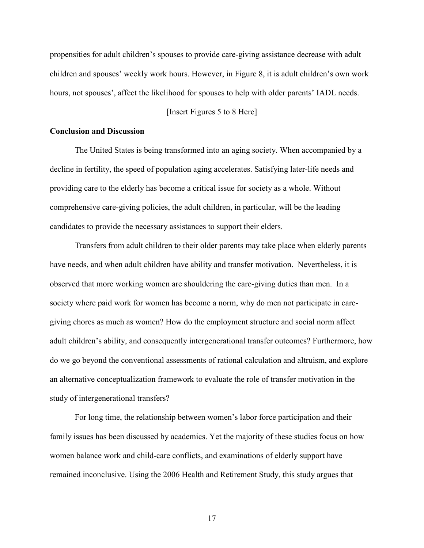propensities for adult children's spouses to provide care-giving assistance decrease with adult children and spouses' weekly work hours. However, in Figure 8, it is adult children's own work hours, not spouses', affect the likelihood for spouses to help with older parents' IADL needs.

### [Insert Figures 5 to 8 Here]

### Conclusion and Discussion

 The United States is being transformed into an aging society. When accompanied by a decline in fertility, the speed of population aging accelerates. Satisfying later-life needs and providing care to the elderly has become a critical issue for society as a whole. Without comprehensive care-giving policies, the adult children, in particular, will be the leading candidates to provide the necessary assistances to support their elders.

Transfers from adult children to their older parents may take place when elderly parents have needs, and when adult children have ability and transfer motivation. Nevertheless, it is observed that more working women are shouldering the care-giving duties than men. In a society where paid work for women has become a norm, why do men not participate in caregiving chores as much as women? How do the employment structure and social norm affect adult children's ability, and consequently intergenerational transfer outcomes? Furthermore, how do we go beyond the conventional assessments of rational calculation and altruism, and explore an alternative conceptualization framework to evaluate the role of transfer motivation in the study of intergenerational transfers?

 For long time, the relationship between women's labor force participation and their family issues has been discussed by academics. Yet the majority of these studies focus on how women balance work and child-care conflicts, and examinations of elderly support have remained inconclusive. Using the 2006 Health and Retirement Study, this study argues that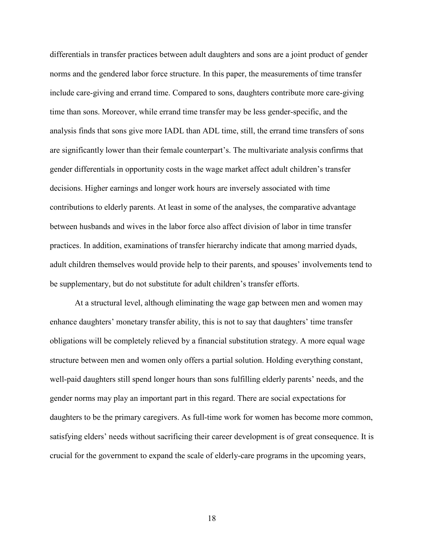differentials in transfer practices between adult daughters and sons are a joint product of gender norms and the gendered labor force structure. In this paper, the measurements of time transfer include care-giving and errand time. Compared to sons, daughters contribute more care-giving time than sons. Moreover, while errand time transfer may be less gender-specific, and the analysis finds that sons give more IADL than ADL time, still, the errand time transfers of sons are significantly lower than their female counterpart's. The multivariate analysis confirms that gender differentials in opportunity costs in the wage market affect adult children's transfer decisions. Higher earnings and longer work hours are inversely associated with time contributions to elderly parents. At least in some of the analyses, the comparative advantage between husbands and wives in the labor force also affect division of labor in time transfer practices. In addition, examinations of transfer hierarchy indicate that among married dyads, adult children themselves would provide help to their parents, and spouses' involvements tend to be supplementary, but do not substitute for adult children's transfer efforts.

 At a structural level, although eliminating the wage gap between men and women may enhance daughters' monetary transfer ability, this is not to say that daughters' time transfer obligations will be completely relieved by a financial substitution strategy. A more equal wage structure between men and women only offers a partial solution. Holding everything constant, well-paid daughters still spend longer hours than sons fulfilling elderly parents' needs, and the gender norms may play an important part in this regard. There are social expectations for daughters to be the primary caregivers. As full-time work for women has become more common, satisfying elders' needs without sacrificing their career development is of great consequence. It is crucial for the government to expand the scale of elderly-care programs in the upcoming years,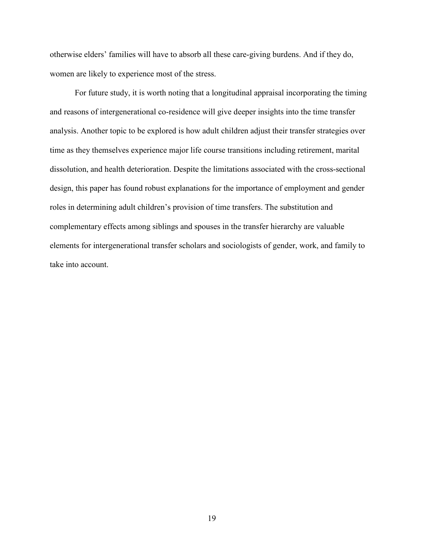otherwise elders' families will have to absorb all these care-giving burdens. And if they do, women are likely to experience most of the stress.

 For future study, it is worth noting that a longitudinal appraisal incorporating the timing and reasons of intergenerational co-residence will give deeper insights into the time transfer analysis. Another topic to be explored is how adult children adjust their transfer strategies over time as they themselves experience major life course transitions including retirement, marital dissolution, and health deterioration. Despite the limitations associated with the cross-sectional design, this paper has found robust explanations for the importance of employment and gender roles in determining adult children's provision of time transfers. The substitution and complementary effects among siblings and spouses in the transfer hierarchy are valuable elements for intergenerational transfer scholars and sociologists of gender, work, and family to take into account.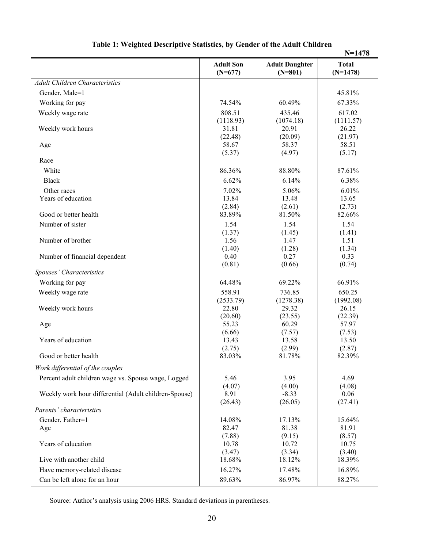|                                                       |                               |                                    | $N = 1478$                 |
|-------------------------------------------------------|-------------------------------|------------------------------------|----------------------------|
|                                                       | <b>Adult Son</b><br>$(N=677)$ | <b>Adult Daughter</b><br>$(N=801)$ | <b>Total</b><br>$(N=1478)$ |
| <b>Adult Children Characteristics</b>                 |                               |                                    |                            |
| Gender, Male=1                                        |                               |                                    | 45.81%                     |
| Working for pay                                       | 74.54%                        | 60.49%                             | 67.33%                     |
| Weekly wage rate                                      | 808.51                        | 435.46                             | 617.02                     |
|                                                       | (1118.93)                     | (1074.18)                          | (1111.57)                  |
| Weekly work hours                                     | 31.81                         | 20.91                              | 26.22                      |
|                                                       | (22.48)                       | (20.09)                            | (21.97)                    |
| Age                                                   | 58.67                         | 58.37                              | 58.51                      |
|                                                       | (5.37)                        | (4.97)                             | (5.17)                     |
| Race                                                  |                               |                                    |                            |
| White                                                 | 86.36%                        | 88.80%                             | 87.61%                     |
| <b>Black</b>                                          | 6.62%                         | 6.14%                              | 6.38%                      |
| Other races                                           | 7.02%                         | 5.06%                              | 6.01%                      |
| Years of education                                    | 13.84                         | 13.48                              | 13.65                      |
|                                                       | (2.84)                        | (2.61)                             | (2.73)                     |
| Good or better health                                 | 83.89%                        | 81.50%                             | 82.66%                     |
| Number of sister                                      | 1.54                          | 1.54                               | 1.54                       |
| Number of brother                                     | (1.37)<br>1.56                | (1.45)<br>1.47                     | (1.41)<br>1.51             |
|                                                       | (1.40)                        | (1.28)                             | (1.34)                     |
| Number of financial dependent                         | 0.40                          | 0.27                               | 0.33                       |
|                                                       | (0.81)                        | (0.66)                             | (0.74)                     |
| Spouses' Characteristics                              |                               |                                    |                            |
| Working for pay                                       | 64.48%                        | 69.22%                             | 66.91%                     |
| Weekly wage rate                                      | 558.91                        | 736.85                             | 650.25                     |
|                                                       | (2533.79)                     | (1278.38)                          | (1992.08)                  |
| Weekly work hours                                     | 22.80                         | 29.32                              | 26.15                      |
|                                                       | (20.60)                       | (23.55)                            | (22.39)                    |
| Age                                                   | 55.23<br>(6.66)               | 60.29<br>(7.57)                    | 57.97                      |
| Years of education                                    | 13.43                         | 13.58                              | (7.53)<br>13.50            |
|                                                       | (2.75)                        | (2.99)                             | (2.87)                     |
| Good or better health                                 | 83.03%                        | 81.78%                             | 82.39%                     |
| Work differential of the couples                      |                               |                                    |                            |
| Percent adult children wage vs. Spouse wage, Logged   | 5.46                          | 3.95                               | 4.69                       |
|                                                       | (4.07)                        | (4.00)                             | (4.08)                     |
| Weekly work hour differential (Adult children-Spouse) | 8.91                          | $-8.33$                            | 0.06                       |
|                                                       | (26.43)                       | (26.05)                            | (27.41)                    |
| Parents' characteristics                              |                               |                                    |                            |
| Gender, Father=1                                      | 14.08%                        | 17.13%                             | 15.64%                     |
| Age                                                   | 82.47                         | 81.38                              | 81.91                      |
|                                                       | (7.88)                        | (9.15)                             | (8.57)                     |
| Years of education                                    | 10.78                         | 10.72                              | 10.75                      |
|                                                       | (3.47)                        | (3.34)                             | (3.40)                     |
| Live with another child                               | 18.68%                        | 18.12%                             | 18.39%                     |
| Have memory-related disease                           | 16.27%                        | 17.48%                             | 16.89%                     |
| Can be left alone for an hour                         | 89.63%                        | 86.97%                             | 88.27%                     |

# Table 1: Weighted Descriptive Statistics, by Gender of the Adult Children

Source: Author's analysis using 2006 HRS. Standard deviations in parentheses.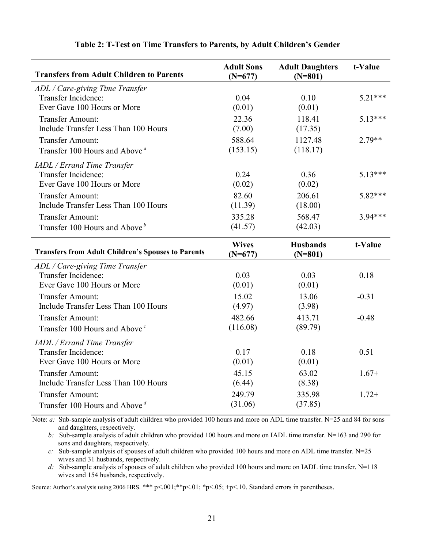| <b>Transfers from Adult Children to Parents</b>           | <b>Adult Sons</b><br>$(N=677)$ | <b>Adult Daughters</b><br>$(N=801)$ | t-Value   |
|-----------------------------------------------------------|--------------------------------|-------------------------------------|-----------|
| ADL / Care-giving Time Transfer                           |                                |                                     |           |
| Transfer Incidence:                                       | 0.04                           | 0.10                                | $5.21***$ |
| Ever Gave 100 Hours or More                               | (0.01)                         | (0.01)                              |           |
| <b>Transfer Amount:</b>                                   | 22.36                          | 118.41                              | $5.13***$ |
| Include Transfer Less Than 100 Hours                      | (7.00)                         | (17.35)                             |           |
| Transfer Amount:                                          | 588.64                         | 1127.48                             | $2.79**$  |
| Transfer 100 Hours and Above <sup>a</sup>                 | (153.15)                       | (118.17)                            |           |
| <b>IADL</b> / Errand Time Transfer                        |                                |                                     |           |
| Transfer Incidence:                                       | 0.24                           | 0.36                                | $5.13***$ |
| Ever Gave 100 Hours or More                               | (0.02)                         | (0.02)                              |           |
| Transfer Amount:                                          | 82.60                          | 206.61                              | 5.82***   |
| Include Transfer Less Than 100 Hours                      | (11.39)                        | (18.00)                             |           |
| <b>Transfer Amount:</b>                                   | 335.28                         | 568.47                              | $3.94***$ |
| Transfer 100 Hours and Above <sup>b</sup>                 | (41.57)                        | (42.03)                             |           |
| <b>Transfers from Adult Children's Spouses to Parents</b> | <b>Wives</b><br>$(N=677)$      | <b>Husbands</b><br>$(N=801)$        | t-Value   |
| ADL / Care-giving Time Transfer                           |                                |                                     |           |
| Transfer Incidence:                                       | 0.03                           | 0.03                                | 0.18      |
| Ever Gave 100 Hours or More                               | (0.01)                         | (0.01)                              |           |
| <b>Transfer Amount:</b>                                   | 15.02                          | 13.06                               | $-0.31$   |
| Include Transfer Less Than 100 Hours                      | (4.97)                         | (3.98)                              |           |
| Transfer Amount:                                          | 482.66                         | 413.71                              | $-0.48$   |
| Transfer 100 Hours and Above <sup>c</sup>                 | (116.08)                       | (89.79)                             |           |
| <b>IADL</b> / Errand Time Transfer                        |                                |                                     |           |
| Transfer Incidence:                                       | 0.17                           | 0.18                                | 0.51      |
| Ever Gave 100 Hours or More                               | (0.01)                         | (0.01)                              |           |
| <b>Transfer Amount:</b>                                   | 45.15                          | 63.02                               | $1.67+$   |
| Include Transfer Less Than 100 Hours                      | (6.44)                         | (8.38)                              |           |
| Transfer Amount:                                          | 249.79                         | 335.98                              | $1.72+$   |
| Transfer 100 Hours and Above <sup><math>d</math></sup>    | (31.06)                        | (37.85)                             |           |

#### Table 2: T-Test on Time Transfers to Parents, by Adult Children's Gender

Note: *a*: Sub-sample analysis of adult children who provided 100 hours and more on ADL time transfer. N=25 and 84 for sons and daughters, respectively.

 b: Sub-sample analysis of adult children who provided 100 hours and more on IADL time transfer. N=163 and 290 for sons and daughters, respectively.

 $c$ : Sub-sample analysis of spouses of adult children who provided 100 hours and more on ADL time transfer. N=25 wives and 31 husbands, respectively.

d: Sub-sample analysis of spouses of adult children who provided 100 hours and more on IADL time transfer. N=118 wives and 154 husbands, respectively.

Source: Author's analysis using 2006 HRS. \*\*\* p<.001; \*\*p<.01; \*p<.05; +p<.10. Standard errors in parentheses.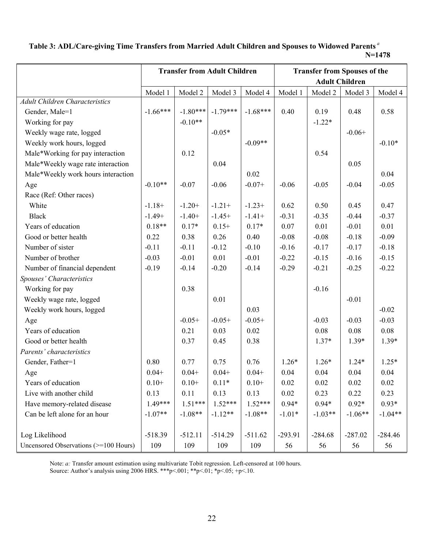## Table 3: ADL/Care-giving Time Transfers from Married Adult Children and Spouses to Widowed Parents<sup>a</sup> N=1478

|                                       | <b>Transfer from Adult Children</b> |            |            | <b>Transfer from Spouses of the</b> |           |           |           |           |
|---------------------------------------|-------------------------------------|------------|------------|-------------------------------------|-----------|-----------|-----------|-----------|
|                                       |                                     |            |            | <b>Adult Children</b>               |           |           |           |           |
|                                       | Model 1                             | Model 2    | Model 3    | Model 4                             | Model 1   | Model 2   | Model 3   | Model 4   |
| <b>Adult Children Characteristics</b> |                                     |            |            |                                     |           |           |           |           |
| Gender, Male=1                        | $-1.66***$                          | $-1.80***$ | $-1.79***$ | $-1.68***$                          | 0.40      | 0.19      | 0.48      | 0.58      |
| Working for pay                       |                                     | $-0.10**$  |            |                                     |           | $-1.22*$  |           |           |
| Weekly wage rate, logged              |                                     |            | $-0.05*$   |                                     |           |           | $-0.06+$  |           |
| Weekly work hours, logged             |                                     |            |            | $-0.09**$                           |           |           |           | $-0.10*$  |
| Male*Working for pay interaction      |                                     | 0.12       |            |                                     |           | 0.54      |           |           |
| Male*Weekly wage rate interaction     |                                     |            | 0.04       |                                     |           |           | 0.05      |           |
| Male*Weekly work hours interaction    |                                     |            |            | 0.02                                |           |           |           | 0.04      |
| Age                                   | $-0.10**$                           | $-0.07$    | $-0.06$    | $-0.07+$                            | $-0.06$   | $-0.05$   | $-0.04$   | $-0.05$   |
| Race (Ref: Other races)               |                                     |            |            |                                     |           |           |           |           |
| White                                 | $-1.18+$                            | $-1.20+$   | $-1.21+$   | $-1.23+$                            | 0.62      | 0.50      | 0.45      | 0.47      |
| <b>Black</b>                          | $-1.49+$                            | $-1.40+$   | $-1.45+$   | $-1.41+$                            | $-0.31$   | $-0.35$   | $-0.44$   | $-0.37$   |
| Years of education                    | $0.18**$                            | $0.17*$    | $0.15+$    | $0.17*$                             | 0.07      | 0.01      | $-0.01$   | 0.01      |
| Good or better health                 | 0.22                                | 0.38       | 0.26       | 0.40                                | $-0.08$   | $-0.08$   | $-0.18$   | $-0.09$   |
| Number of sister                      | $-0.11$                             | $-0.11$    | $-0.12$    | $-0.10$                             | $-0.16$   | $-0.17$   | $-0.17$   | $-0.18$   |
| Number of brother                     | $-0.03$                             | $-0.01$    | 0.01       | $-0.01$                             | $-0.22$   | $-0.15$   | $-0.16$   | $-0.15$   |
| Number of financial dependent         | $-0.19$                             | $-0.14$    | $-0.20$    | $-0.14$                             | $-0.29$   | $-0.21$   | $-0.25$   | $-0.22$   |
| Spouses' Characteristics              |                                     |            |            |                                     |           |           |           |           |
| Working for pay                       |                                     | 0.38       |            |                                     |           | $-0.16$   |           |           |
| Weekly wage rate, logged              |                                     |            | 0.01       |                                     |           |           | $-0.01$   |           |
| Weekly work hours, logged             |                                     |            |            | 0.03                                |           |           |           | $-0.02$   |
| Age                                   |                                     | $-0.05+$   | $-0.05+$   | $-0.05+$                            |           | $-0.03$   | $-0.03$   | $-0.03$   |
| Years of education                    |                                     | 0.21       | 0.03       | 0.02                                |           | 0.08      | 0.08      | 0.08      |
| Good or better health                 |                                     | 0.37       | 0.45       | 0.38                                |           | $1.37*$   | $1.39*$   | $1.39*$   |
| Parents' characteristics              |                                     |            |            |                                     |           |           |           |           |
| Gender, Father=1                      | 0.80                                | 0.77       | 0.75       | 0.76                                | $1.26*$   | $1.26*$   | $1.24*$   | $1.25*$   |
| Age                                   | $0.04 +$                            | $0.04 +$   | $0.04 +$   | $0.04 +$                            | 0.04      | 0.04      | 0.04      | 0.04      |
| Years of education                    | $0.10+$                             | $0.10+$    | $0.11*$    | $0.10+$                             | 0.02      | 0.02      | 0.02      | 0.02      |
| Live with another child               | 0.13                                | 0.11       | 0.13       | 0.13                                | $0.02\,$  | 0.23      | 0.22      | 0.23      |
| Have memory-related disease           | 1.49***                             | $1.51***$  | $1.52***$  | $1.52***$                           | $0.94*$   | $0.94*$   | $0.92*$   | $0.93*$   |
| Can be left alone for an hour         | $-1.07**$                           | $-1.08**$  | $-1.12**$  | $-1.08**$                           | $-1.01*$  | $-1.03**$ | $-1.06**$ | $-1.04**$ |
|                                       |                                     |            |            |                                     |           |           |           |           |
| Log Likelihood                        | $-518.39$                           | $-512.11$  | $-514.29$  | $-511.62$                           | $-293.91$ | $-284.68$ | $-287.02$ | $-284.46$ |
| Uncensored Observations (>=100 Hours) | 109                                 | 109        | 109        | 109                                 | 56        | 56        | 56        | 56        |

Note: a: Transfer amount estimation using multivariate Tobit regression. Left-censored at 100 hours.

Source: Author's analysis using 2006 HRS. \*\*\* p<.001; \*\* p<.01; \*p<.05; +p<.10.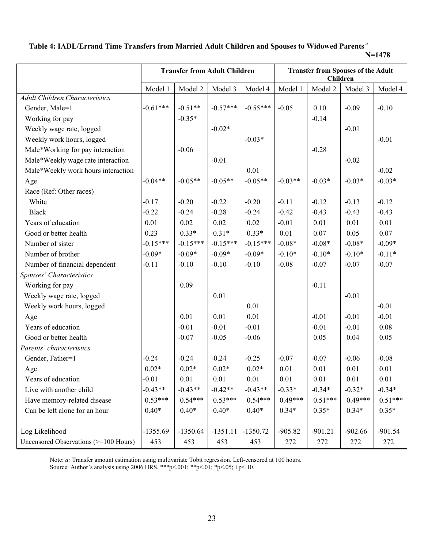# Table 4: IADL/Errand Time Transfers from Married Adult Children and Spouses to Widowed Parents<sup>a</sup>

N=1478

|                                       | <b>Transfer from Adult Children</b> |            |            | <b>Transfer from Spouses of the Adult</b><br>Children |           |           |           |           |
|---------------------------------------|-------------------------------------|------------|------------|-------------------------------------------------------|-----------|-----------|-----------|-----------|
|                                       | Model 1                             | Model 2    | Model 3    | Model 4                                               | Model 1   | Model 2   | Model 3   | Model 4   |
| <b>Adult Children Characteristics</b> |                                     |            |            |                                                       |           |           |           |           |
| Gender, Male=1                        | $-0.61***$                          | $-0.51**$  | $-0.57***$ | $-0.55***$                                            | $-0.05$   | 0.10      | $-0.09$   | $-0.10$   |
| Working for pay                       |                                     | $-0.35*$   |            |                                                       |           | $-0.14$   |           |           |
| Weekly wage rate, logged              |                                     |            | $-0.02*$   |                                                       |           |           | $-0.01$   |           |
| Weekly work hours, logged             |                                     |            |            | $-0.03*$                                              |           |           |           | $-0.01$   |
| Male*Working for pay interaction      |                                     | $-0.06$    |            |                                                       |           | $-0.28$   |           |           |
| Male*Weekly wage rate interaction     |                                     |            | $-0.01$    |                                                       |           |           | $-0.02$   |           |
| Male*Weekly work hours interaction    |                                     |            |            | 0.01                                                  |           |           |           | $-0.02$   |
| Age                                   | $-0.04**$                           | $-0.05**$  | $-0.05**$  | $-0.05**$                                             | $-0.03**$ | $-0.03*$  | $-0.03*$  | $-0.03*$  |
| Race (Ref: Other races)               |                                     |            |            |                                                       |           |           |           |           |
| White                                 | $-0.17$                             | $-0.20$    | $-0.22$    | $-0.20$                                               | $-0.11$   | $-0.12$   | $-0.13$   | $-0.12$   |
| <b>Black</b>                          | $-0.22$                             | $-0.24$    | $-0.28$    | $-0.24$                                               | $-0.42$   | $-0.43$   | $-0.43$   | $-0.43$   |
| Years of education                    | 0.01                                | 0.02       | 0.02       | 0.02                                                  | $-0.01$   | 0.01      | 0.01      | 0.01      |
| Good or better health                 | 0.23                                | $0.33*$    | $0.31*$    | $0.33*$                                               | 0.01      | 0.07      | 0.05      | 0.07      |
| Number of sister                      | $-0.15***$                          | $-0.15***$ | $-0.15***$ | $-0.15***$                                            | $-0.08*$  | $-0.08*$  | $-0.08*$  | $-0.09*$  |
| Number of brother                     | $-0.09*$                            | $-0.09*$   | $-0.09*$   | $-0.09*$                                              | $-0.10*$  | $-0.10*$  | $-0.10*$  | $-0.11*$  |
| Number of financial dependent         | $-0.11$                             | $-0.10$    | $-0.10$    | $-0.10$                                               | $-0.08$   | $-0.07$   | $-0.07$   | $-0.07$   |
| Spouses' Characteristics              |                                     |            |            |                                                       |           |           |           |           |
| Working for pay                       |                                     | 0.09       |            |                                                       |           | $-0.11$   |           |           |
| Weekly wage rate, logged              |                                     |            | 0.01       |                                                       |           |           | $-0.01$   |           |
| Weekly work hours, logged             |                                     |            |            | 0.01                                                  |           |           |           | $-0.01$   |
| Age                                   |                                     | 0.01       | 0.01       | 0.01                                                  |           | $-0.01$   | $-0.01$   | $-0.01$   |
| Years of education                    |                                     | $-0.01$    | $-0.01$    | $-0.01$                                               |           | $-0.01$   | $-0.01$   | 0.08      |
| Good or better health                 |                                     | $-0.07$    | $-0.05$    | $-0.06$                                               |           | 0.05      | 0.04      | 0.05      |
| Parents' characteristics              |                                     |            |            |                                                       |           |           |           |           |
| Gender, Father=1                      | $-0.24$                             | $-0.24$    | $-0.24$    | $-0.25$                                               | $-0.07$   | $-0.07$   | $-0.06$   | $-0.08$   |
| Age                                   | $0.02*$                             | $0.02*$    | $0.02*$    | $0.02*$                                               | 0.01      | 0.01      | 0.01      | 0.01      |
| Years of education                    | $-0.01$                             | 0.01       | 0.01       | 0.01                                                  | 0.01      | 0.01      | 0.01      | 0.01      |
| Live with another child               | $-0.43**$                           | $-0.43**$  | $-0.42**$  | $-0.43**$                                             | $-0.33*$  | $-0.34*$  | $-0.32*$  | $-0.34*$  |
| Have memory-related disease           | $0.53***$                           | $0.54***$  | $0.53***$  | $0.54***$                                             | $0.49***$ | $0.51***$ | $0.49***$ | $0.51***$ |
| Can be left alone for an hour         | $0.40*$                             | $0.40*$    | $0.40*$    | $0.40*$                                               | $0.34*$   | $0.35*$   | $0.34*$   | $0.35*$   |
|                                       |                                     |            |            |                                                       |           |           |           |           |
| Log Likelihood                        | $-1355.69$                          | $-1350.64$ | $-1351.11$ | $-1350.72$                                            | $-905.82$ | $-901.21$ | $-902.66$ | $-901.54$ |
| Uncensored Observations (>=100 Hours) | 453                                 | 453        | 453        | 453                                                   | 272       | 272       | 272       | 272       |

Note: *a*: Transfer amount estimation using multivariate Tobit regression. Left-censored at 100 hours.

Source: Author's analysis using 2006 HRS. \*\*\*p<.001; \*\*p<.01; \*p<.05; +p<.10.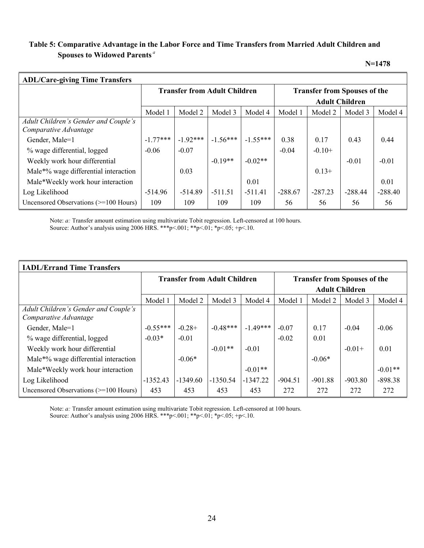# Table 5: Comparative Advantage in the Labor Force and Time Transfers from Married Adult Children and Spouses to Widowed Parents<sup>a</sup>

N=1478

| <b>ADL/Care-giving Time Transfers</b>   |                                     |            |            |            |                                     |           |           |           |  |
|-----------------------------------------|-------------------------------------|------------|------------|------------|-------------------------------------|-----------|-----------|-----------|--|
|                                         | <b>Transfer from Adult Children</b> |            |            |            | <b>Transfer from Spouses of the</b> |           |           |           |  |
|                                         |                                     |            |            |            | <b>Adult Children</b>               |           |           |           |  |
|                                         | Model 1                             | Model 2    | Model 3    | Model 4    | Model 1                             | Model 2   | Model 3   | Model 4   |  |
| Adult Children's Gender and Couple's    |                                     |            |            |            |                                     |           |           |           |  |
| Comparative Advantage                   |                                     |            |            |            |                                     |           |           |           |  |
| Gender, Male=1                          | $-1.77***$                          | $-1.92***$ | $-1.56***$ | $-1.55***$ | 0.38                                | 0.17      | 0.43      | 0.44      |  |
| % wage differential, logged             | $-0.06$                             | $-0.07$    |            |            | $-0.04$                             | $-0.10+$  |           |           |  |
| Weekly work hour differential           |                                     |            | $-0.19**$  | $-0.02**$  |                                     |           | $-0.01$   | $-0.01$   |  |
| Male*% wage differential interaction    |                                     | 0.03       |            |            |                                     | $0.13+$   |           |           |  |
| Male*Weekly work hour interaction       |                                     |            |            | 0.01       |                                     |           |           | 0.01      |  |
| Log Likelihood                          | $-514.96$                           | $-514.89$  | $-511.51$  | $-511.41$  | $-288.67$                           | $-287.23$ | $-288.44$ | $-288.40$ |  |
| Uncensored Observations $(>=100$ Hours) | 109                                 | 109        | 109        | 109        | 56                                  | 56        | 56        | 56        |  |

Note: a: Transfer amount estimation using multivariate Tobit regression. Left-censored at 100 hours. Source: Author's analysis using 2006 HRS. \*\*\* p<.001; \*\* p <.01; \*p <.05; +p <.10.

| <b>IADL/Errand Time Transfers</b>                             |                                     |            |            |            |                                     |           |           |           |  |
|---------------------------------------------------------------|-------------------------------------|------------|------------|------------|-------------------------------------|-----------|-----------|-----------|--|
|                                                               | <b>Transfer from Adult Children</b> |            |            |            | <b>Transfer from Spouses of the</b> |           |           |           |  |
|                                                               |                                     |            |            |            | <b>Adult Children</b>               |           |           |           |  |
|                                                               | Model 1                             | Model 2    | Model 3    | Model 4    | Model 1                             | Model 2   | Model 3   | Model 4   |  |
| Adult Children's Gender and Couple's<br>Comparative Advantage |                                     |            |            |            |                                     |           |           |           |  |
| Gender, Male=1                                                | $-0.55***$                          | $-0.28+$   | $-0.48***$ | $-1.49***$ | $-0.07$                             | 0.17      | $-0.04$   | $-0.06$   |  |
| % wage differential, logged                                   | $-0.03*$                            | $-0.01$    |            |            | $-0.02$                             | 0.01      |           |           |  |
| Weekly work hour differential                                 |                                     |            | $-0.01**$  | $-0.01$    |                                     |           | $-0.01+$  | 0.01      |  |
| Male*% wage differential interaction                          |                                     | $-0.06*$   |            |            |                                     | $-0.06*$  |           |           |  |
| Male*Weekly work hour interaction                             |                                     |            |            | $-0.01**$  |                                     |           |           | $-0.01**$ |  |
| Log Likelihood                                                | $-1352.43$                          | $-1349.60$ | $-1350.54$ | $-1347.22$ | $-904.51$                           | $-901.88$ | $-903.80$ | $-898.38$ |  |
| Uncensored Observations $(>=100$ Hours)                       | 453                                 | 453        | 453        | 453        | 272                                 | 272       | 272       | 272       |  |

Note: a: Transfer amount estimation using multivariate Tobit regression. Left-censored at 100 hours. Source: Author's analysis using 2006 HRS. \*\*\*p<.001; \*\*p<.01; \*p<.05; +p<.10.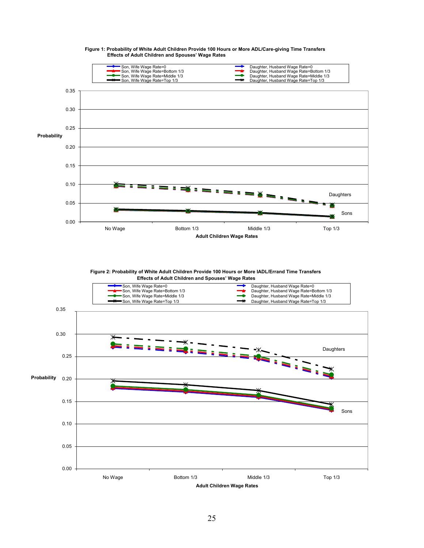

#### Figure 1: Probability of White Adult Children Provide 100 Hours or More ADL/Care-giving Time Transfers Effects of Adult Children and Spouses' Wage Rates

Figure 2: Probability of White Adult Children Provide 100 Hours or More IADL/Errand Time Transfers



Adult Children Wage Rates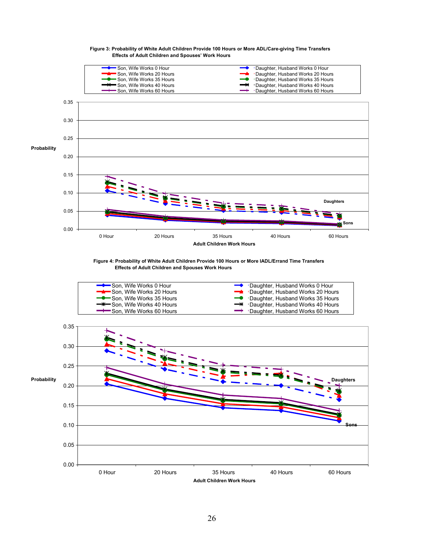

#### Figure 3: Probability of White Adult Children Provide 100 Hours or More ADL/Care-giving Time Transfers Effects of Adult Children and Spouses' Work Hours

Figure 4: Probability of White Adult Children Provide 100 Hours or More IADL/Errand Time Transfers Effects of Adult Children and Spouses Work Hours



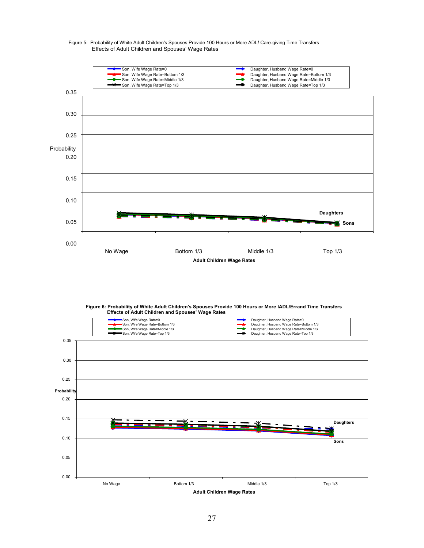

#### Figure 5: Probability of White Adult Children's Spouses Provide 100 Hours or More ADL/ Care-giving Time Transfers Effects of Adult Children and Spouses' Wage Rates

Figure 6: Probability of White Adult Children's Spouses Provide 100 Hours or More IADL/Errand Time Transfers Effects of Adult Children and Spouses' Wage Rates

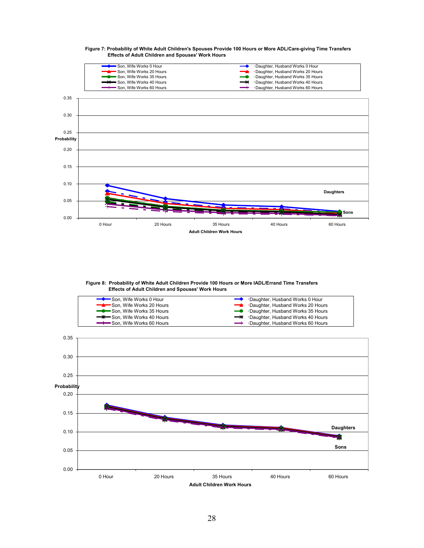

#### Figure 7: Probability of White Adult Children's Spouses Provide 100 Hours or More ADL/Care-giving Time Transfers Effects of Adult Children and Spouses' Work Hours

Figure 8: Probability of White Adult Children Provide 100 Hours or More IADL/Errand Time Transfers Effects of Adult Children and Spouses' Work Hours



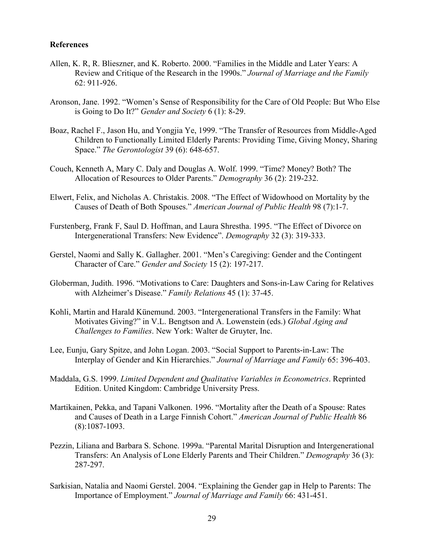### References

- Allen, K. R, R. Blieszner, and K. Roberto. 2000. "Families in the Middle and Later Years: A Review and Critique of the Research in the 1990s." Journal of Marriage and the Family 62: 911-926.
- Aronson, Jane. 1992. "Women's Sense of Responsibility for the Care of Old People: But Who Else is Going to Do It?" Gender and Society 6 (1): 8-29.
- Boaz, Rachel F., Jason Hu, and Yongjia Ye, 1999. "The Transfer of Resources from Middle-Aged Children to Functionally Limited Elderly Parents: Providing Time, Giving Money, Sharing Space." The Gerontologist 39 (6): 648-657.
- Couch, Kenneth A, Mary C. Daly and Douglas A. Wolf. 1999. "Time? Money? Both? The Allocation of Resources to Older Parents." Demography 36 (2): 219-232.
- Elwert, Felix, and Nicholas A. Christakis. 2008. "The Effect of Widowhood on Mortality by the Causes of Death of Both Spouses." American Journal of Public Health 98 (7):1-7.
- Furstenberg, Frank F, Saul D. Hoffman, and Laura Shrestha. 1995. "The Effect of Divorce on Intergenerational Transfers: New Evidence". Demography 32 (3): 319-333.
- Gerstel, Naomi and Sally K. Gallagher. 2001. "Men's Caregiving: Gender and the Contingent Character of Care." Gender and Society 15 (2): 197-217.
- Globerman, Judith. 1996. "Motivations to Care: Daughters and Sons-in-Law Caring for Relatives with Alzheimer's Disease." Family Relations 45 (1): 37-45.
- Kohli, Martin and Harald Künemund. 2003. "Intergenerational Transfers in the Family: What Motivates Giving?" in V.L. Bengtson and A. Lowenstein (eds.) Global Aging and Challenges to Families. New York: Walter de Gruyter, Inc.
- Lee, Eunju, Gary Spitze, and John Logan. 2003. "Social Support to Parents-in-Law: The Interplay of Gender and Kin Hierarchies." Journal of Marriage and Family 65: 396-403.
- Maddala, G.S. 1999. Limited Dependent and Qualitative Variables in Econometrics. Reprinted Edition. United Kingdom: Cambridge University Press.
- Martikainen, Pekka, and Tapani Valkonen. 1996. "Mortality after the Death of a Spouse: Rates and Causes of Death in a Large Finnish Cohort." American Journal of Public Health 86 (8):1087-1093.
- Pezzin, Liliana and Barbara S. Schone. 1999a. "Parental Marital Disruption and Intergenerational Transfers: An Analysis of Lone Elderly Parents and Their Children." Demography 36 (3): 287-297.
- Sarkisian, Natalia and Naomi Gerstel. 2004. "Explaining the Gender gap in Help to Parents: The Importance of Employment." Journal of Marriage and Family 66: 431-451.